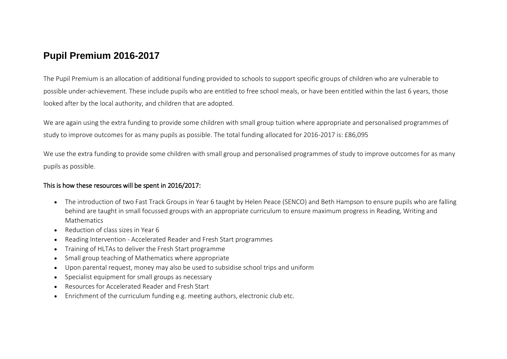## **Pupil Premium 2016-2017**

The Pupil Premium is an allocation of additional funding provided to schools to support specific groups of children who are vulnerable to possible under-achievement. These include pupils who are entitled to free school meals, or have been entitled within the last 6 years, those looked after by the local authority, and children that are adopted.

We are again using the extra funding to provide some children with small group tuition where appropriate and personalised programmes of study to improve outcomes for as many pupils as possible. The total funding allocated for 2016-2017 is: £86,095

We use the extra funding to provide some children with small group and personalised programmes of study to improve outcomes for as many pupils as possible.

## This is how these resources will be spent in 2016/2017:

- The introduction of two Fast Track Groups in Year 6 taught by Helen Peace (SENCO) and Beth Hampson to ensure pupils who are falling behind are taught in small focussed groups with an appropriate curriculum to ensure maximum progress in Reading, Writing and **Mathematics**
- Reduction of class sizes in Year 6
- Reading Intervention Accelerated Reader and Fresh Start programmes
- Training of HLTAs to deliver the Fresh Start programme
- Small group teaching of Mathematics where appropriate
- Upon parental request, money may also be used to subsidise school trips and uniform
- Specialist equipment for small groups as necessary
- Resources for Accelerated Reader and Fresh Start
- Enrichment of the curriculum funding e.g. meeting authors, electronic club etc.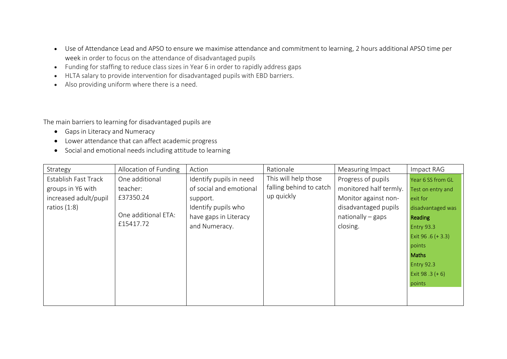- Use of Attendance Lead and APSO to ensure we maximise attendance and commitment to learning, 2 hours additional APSO time per week in order to focus on the attendance of disadvantaged pupils
- Funding for staffing to reduce class sizes in Year 6 in order to rapidly address gaps
- HLTA salary to provide intervention for disadvantaged pupils with EBD barriers.
- Also providing uniform where there is a need.

The main barriers to learning for disadvantaged pupils are

- Gaps in Literacy and Numeracy
- Lower attendance that can affect academic progress
- Social and emotional needs including attitude to learning

| Strategy              | Allocation of Funding | Action                  | Rationale               | Measuring Impact       | Impact RAG           |
|-----------------------|-----------------------|-------------------------|-------------------------|------------------------|----------------------|
| Establish Fast Track  | One additional        | Identify pupils in need | This will help those    | Progress of pupils     | Year 6 SS from GL    |
| groups in Y6 with     | teacher:              | of social and emotional | falling behind to catch | monitored half termly. | Test on entry and    |
| increased adult/pupil | £37350.24             | support.                | up quickly              | Monitor against non-   | exit for             |
| ratios $(1:8)$        |                       | Identify pupils who     |                         | disadvantaged pupils   | disadvantaged was    |
|                       | One additional ETA:   | have gaps in Literacy   |                         | $nationally - gaps$    | <b>Reading</b>       |
|                       | £15417.72             | and Numeracy.           |                         | closing.               | <b>Entry 93.3</b>    |
|                       |                       |                         |                         |                        | Exit 96 $.6$ (+ 3.3) |
|                       |                       |                         |                         |                        | points               |
|                       |                       |                         |                         |                        | <b>Maths</b>         |
|                       |                       |                         |                         |                        | <b>Entry 92.3</b>    |
|                       |                       |                         |                         |                        | Exit 98 .3 $(+ 6)$   |
|                       |                       |                         |                         |                        | points               |
|                       |                       |                         |                         |                        |                      |
|                       |                       |                         |                         |                        |                      |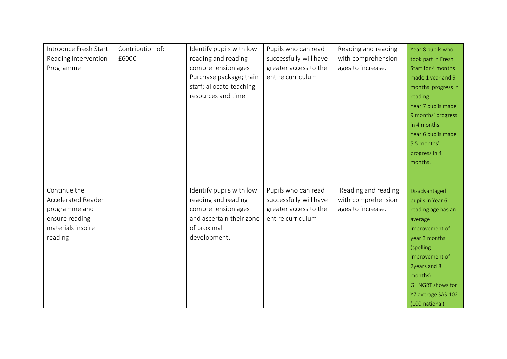| Introduce Fresh Start     | Contribution of: | Identify pupils with low | Pupils who can read    | Reading and reading | Year 8 pupils who        |
|---------------------------|------------------|--------------------------|------------------------|---------------------|--------------------------|
| Reading Intervention      | £6000            | reading and reading      | successfully will have | with comprehension  | took part in Fresh       |
| Programme                 |                  | comprehension ages       | greater access to the  | ages to increase.   | Start for 4 months       |
|                           |                  | Purchase package; train  | entire curriculum      |                     | made 1 year and 9        |
|                           |                  | staff; allocate teaching |                        |                     | months' progress in      |
|                           |                  | resources and time       |                        |                     | reading.                 |
|                           |                  |                          |                        |                     | Year 7 pupils made       |
|                           |                  |                          |                        |                     | 9 months' progress       |
|                           |                  |                          |                        |                     | in 4 months.             |
|                           |                  |                          |                        |                     | Year 6 pupils made       |
|                           |                  |                          |                        |                     | 5.5 months'              |
|                           |                  |                          |                        |                     | progress in 4            |
|                           |                  |                          |                        |                     | months.                  |
|                           |                  |                          |                        |                     |                          |
|                           |                  |                          |                        |                     |                          |
| Continue the              |                  | Identify pupils with low | Pupils who can read    | Reading and reading | Disadvantaged            |
| <b>Accelerated Reader</b> |                  | reading and reading      | successfully will have | with comprehension  | pupils in Year 6         |
| programme and             |                  | comprehension ages       | greater access to the  | ages to increase.   | reading age has an       |
| ensure reading            |                  | and ascertain their zone | entire curriculum      |                     | average                  |
| materials inspire         |                  | of proximal              |                        |                     | improvement of 1         |
| reading                   |                  | development.             |                        |                     | year 3 months            |
|                           |                  |                          |                        |                     | (spelling                |
|                           |                  |                          |                        |                     | improvement of           |
|                           |                  |                          |                        |                     | 2years and 8             |
|                           |                  |                          |                        |                     | months)                  |
|                           |                  |                          |                        |                     | <b>GL NGRT shows for</b> |
|                           |                  |                          |                        |                     | Y7 average SAS 102       |
|                           |                  |                          |                        |                     | (100 national)           |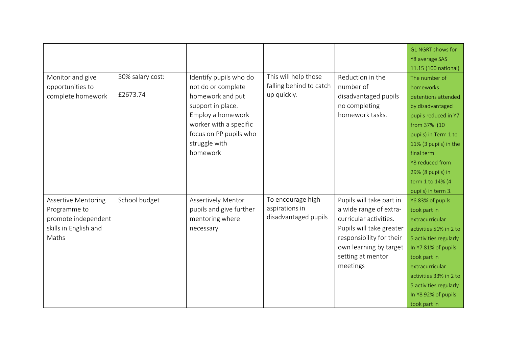|                            |                  |                           |                         |                          | <b>GL NGRT shows for</b> |
|----------------------------|------------------|---------------------------|-------------------------|--------------------------|--------------------------|
|                            |                  |                           |                         |                          | Y8 average SAS           |
|                            |                  |                           |                         |                          | 11.15 (100 national)     |
| Monitor and give           | 50% salary cost: | Identify pupils who do    | This will help those    | Reduction in the         | The number of            |
| opportunities to           |                  | not do or complete        | falling behind to catch | number of                | homeworks                |
| complete homework          | £2673.74         | homework and put          | up quickly.             | disadvantaged pupils     | detentions attended      |
|                            |                  | support in place.         |                         | no completing            | by disadvantaged         |
|                            |                  | Employ a homework         |                         | homework tasks.          | pupils reduced in Y7     |
|                            |                  | worker with a specific    |                         |                          | from 37%i (10            |
|                            |                  | focus on PP pupils who    |                         |                          | pupils) in Term 1 to     |
|                            |                  | struggle with             |                         |                          | 11% (3 pupils) in the    |
|                            |                  | homework                  |                         |                          | final term               |
|                            |                  |                           |                         |                          | Y8 reduced from          |
|                            |                  |                           |                         |                          | 29% (8 pupils) in        |
|                            |                  |                           |                         |                          | term 1 to 14% (4         |
|                            |                  |                           |                         |                          | pupils) in term 3.       |
| <b>Assertive Mentoring</b> | School budget    | <b>Assertively Mentor</b> | To encourage high       | Pupils will take part in | Y6 83% of pupils         |
| Programme to               |                  | pupils and give further   | aspirations in          | a wide range of extra-   | took part in             |
| promote independent        |                  | mentoring where           | disadvantaged pupils    | curricular activities.   | extracurricular          |
| skills in English and      |                  | necessary                 |                         | Pupils will take greater | activities 51% in 2 to   |
| Maths                      |                  |                           |                         | responsibility for their | 5 activities regularly   |
|                            |                  |                           |                         | own learning by target   | In Y7 81% of pupils      |
|                            |                  |                           |                         | setting at mentor        | took part in             |
|                            |                  |                           |                         | meetings                 | extracurricular          |
|                            |                  |                           |                         |                          | activities 33% in 2 to   |
|                            |                  |                           |                         |                          | 5 activities regularly   |
|                            |                  |                           |                         |                          | In Y8 92% of pupils      |
|                            |                  |                           |                         |                          | took part in             |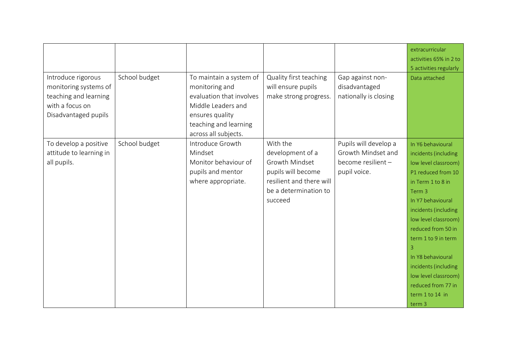| Introduce rigorous<br>monitoring systems of<br>teaching and learning<br>with a focus on<br>Disadvantaged pupils | School budget | To maintain a system of<br>monitoring and<br>evaluation that involves<br>Middle Leaders and<br>ensures quality<br>teaching and learning<br>across all subjects. | Quality first teaching<br>will ensure pupils<br>make strong progress.                                                                | Gap against non-<br>disadvantaged<br>nationally is closing                        | extracurricular<br>activities 65% in 2 to<br>5 activities regularly<br>Data attached                                                                                                                                                                                                                                                                                             |
|-----------------------------------------------------------------------------------------------------------------|---------------|-----------------------------------------------------------------------------------------------------------------------------------------------------------------|--------------------------------------------------------------------------------------------------------------------------------------|-----------------------------------------------------------------------------------|----------------------------------------------------------------------------------------------------------------------------------------------------------------------------------------------------------------------------------------------------------------------------------------------------------------------------------------------------------------------------------|
| To develop a positive<br>attitude to learning in<br>all pupils.                                                 | School budget | Introduce Growth<br>Mindset<br>Monitor behaviour of<br>pupils and mentor<br>where appropriate.                                                                  | With the<br>development of a<br>Growth Mindset<br>pupils will become<br>resilient and there will<br>be a determination to<br>succeed | Pupils will develop a<br>Growth Mindset and<br>become resilient -<br>pupil voice. | In Y6 behavioural<br>incidents (including<br>low level classroom)<br>P1 reduced from 10<br>in Term 1 to 8 in<br>Term <sub>3</sub><br>In Y7 behavioural<br>incidents (including<br>low level classroom)<br>reduced from 50 in<br>term 1 to 9 in term<br>3<br>In Y8 behavioural<br>incidents (including<br>low level classroom)<br>reduced from 77 in<br>term 1 to 14 in<br>term 3 |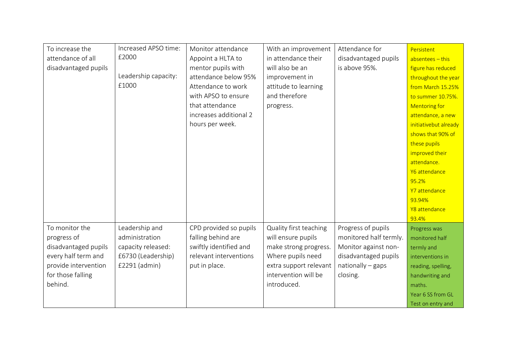| To increase the      | Increased APSO time: | Monitor attendance     | With an improvement    | Attendance for         | Persistent            |
|----------------------|----------------------|------------------------|------------------------|------------------------|-----------------------|
| attendance of all    | £2000                | Appoint a HLTA to      | in attendance their    | disadvantaged pupils   | $ab$ sentees - this   |
| disadvantaged pupils |                      | mentor pupils with     | will also be an        | is above 95%.          | figure has reduced    |
|                      | Leadership capacity: | attendance below 95%   | improvement in         |                        | throughout the year   |
|                      | £1000                | Attendance to work     | attitude to learning   |                        | from March 15.25%     |
|                      |                      | with APSO to ensure    | and therefore          |                        | to summer 10.75%.     |
|                      |                      | that attendance        | progress.              |                        | <b>Mentoring for</b>  |
|                      |                      | increases additional 2 |                        |                        | attendance, a new     |
|                      |                      | hours per week.        |                        |                        | initiativebut already |
|                      |                      |                        |                        |                        | shows that 90% of     |
|                      |                      |                        |                        |                        | these pupils          |
|                      |                      |                        |                        |                        | improved their        |
|                      |                      |                        |                        |                        | attendance.           |
|                      |                      |                        |                        |                        | Y6 attendance         |
|                      |                      |                        |                        |                        | 95.2%                 |
|                      |                      |                        |                        |                        | Y7 attendance         |
|                      |                      |                        |                        |                        | 93.94%                |
|                      |                      |                        |                        |                        | Y8 attendance         |
|                      |                      |                        |                        |                        | 93.4%                 |
| To monitor the       | Leadership and       | CPD provided so pupils | Quality first teaching | Progress of pupils     | Progress was          |
| progress of          | administration       | falling behind are     | will ensure pupils     | monitored half termly. | monitored half        |
| disadvantaged pupils | capacity released:   | swiftly identified and | make strong progress.  | Monitor against non-   | termly and            |
| every half term and  | £6730 (Leadership)   | relevant interventions | Where pupils need      | disadvantaged pupils   | interventions in      |
| provide intervention | £2291 (admin)        | put in place.          | extra support relevant | $nationally - gaps$    | reading, spelling,    |
| for those falling    |                      |                        | intervention will be   | closing.               | handwriting and       |
| behind.              |                      |                        | introduced.            |                        | maths.                |
|                      |                      |                        |                        |                        | Year 6 SS from GL     |
|                      |                      |                        |                        |                        | Test on entry and     |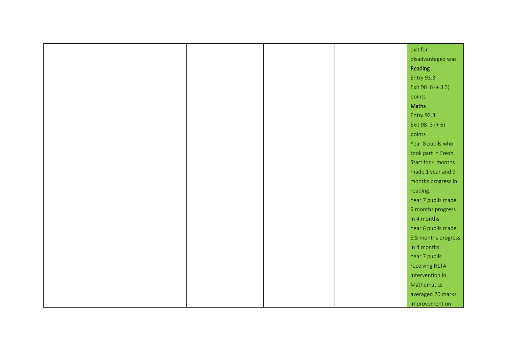|  |  | exit for             |
|--|--|----------------------|
|  |  | disadvantaged was    |
|  |  | Reading              |
|  |  | <b>Entry 93.3</b>    |
|  |  | Exit 96 $.6$ (+ 3.3) |
|  |  | points               |
|  |  | Maths                |
|  |  | <b>Entry 92.3</b>    |
|  |  | Exit 98 .3 $(+ 6)$   |
|  |  | points               |
|  |  | Year 8 pupils who    |
|  |  | took part in Fresh   |
|  |  | Start for 4 months   |
|  |  | made 1 year and 9    |
|  |  | months progress in   |
|  |  | reading.             |
|  |  | Year 7 pupils made   |
|  |  | 9 months progress    |
|  |  | in 4 months.         |
|  |  | Year 6 pupils made   |
|  |  | 5.5 months progress  |
|  |  | in 4 months.         |
|  |  | Year 7 pupils        |
|  |  | receiving HLTA       |
|  |  | intervention in      |
|  |  | Mathematics          |
|  |  | averaged 20 marks    |
|  |  | improvement on       |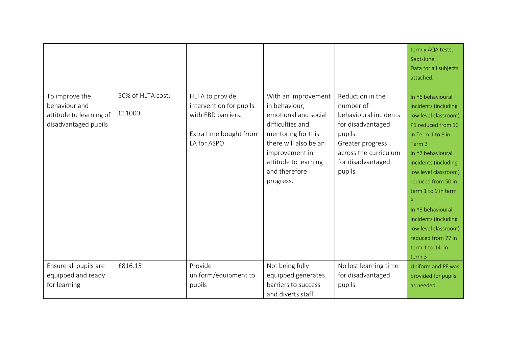|                                                                                    |                             |                                                                                                           |                                                                                                                                                                                                         |                                                                                                                                                                     | termly AQA tests,<br>Sept-June.<br>Data for all subjects<br>attached.                                                                                                                                                                                                                                                                                                            |
|------------------------------------------------------------------------------------|-----------------------------|-----------------------------------------------------------------------------------------------------------|---------------------------------------------------------------------------------------------------------------------------------------------------------------------------------------------------------|---------------------------------------------------------------------------------------------------------------------------------------------------------------------|----------------------------------------------------------------------------------------------------------------------------------------------------------------------------------------------------------------------------------------------------------------------------------------------------------------------------------------------------------------------------------|
| To improve the<br>behaviour and<br>attitude to learning of<br>disadvantaged pupils | 50% of HLTA cost:<br>£11000 | HLTA to provide<br>intervention for pupils<br>with EBD barriers.<br>Extra time bought from<br>LA for ASPO | With an improvement<br>in behaviour,<br>emotional and social<br>difficulties and<br>mentoring for this<br>there will also be an<br>improvement in<br>attitude to learning<br>and therefore<br>progress. | Reduction in the<br>number of<br>behavioural incidents<br>for disadvantaged<br>pupils.<br>Greater progress<br>across the curriculum<br>for disadvantaged<br>pupils. | In Y6 behavioural<br>incidents (including<br>low level classroom)<br>P1 reduced from 10<br>in Term 1 to 8 in<br>Term <sub>3</sub><br>In Y7 behavioural<br>incidents (including<br>low level classroom)<br>reduced from 50 in<br>term 1 to 9 in term<br>3<br>In Y8 behavioural<br>incidents (including<br>low level classroom)<br>reduced from 77 in<br>term 1 to 14 in<br>term 3 |
| Ensure all pupils are<br>equipped and ready<br>for learning                        | £816.15                     | Provide<br>uniform/equipment to<br>pupils                                                                 | Not being fully<br>equipped generates<br>barriers to success<br>and diverts staff                                                                                                                       | No lost learning time<br>for disadvantaged<br>pupils.                                                                                                               | Uniform and PE was<br>provided for pupils<br>as needed.                                                                                                                                                                                                                                                                                                                          |